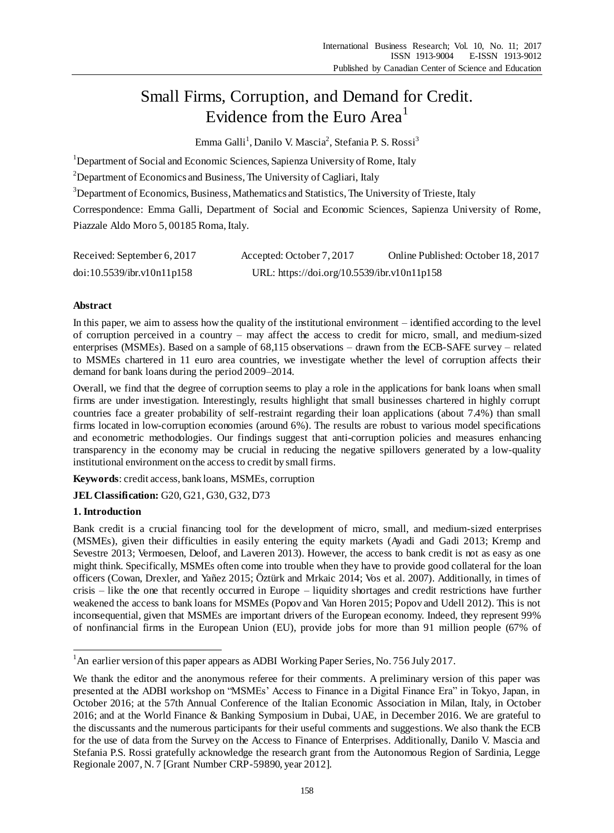# Small Firms, Corruption, and Demand for Credit. Evidence from the Euro Area<sup>1</sup>

Emma Galli<sup>1</sup>, Danilo V. Mascia<sup>2</sup>, Stefania P. S. Rossi<sup>3</sup>

<sup>1</sup>Department of Social and Economic Sciences, Sapienza University of Rome, Italy

 $2$ Department of Economics and Business, The University of Cagliari, Italy

 $3$ Department of Economics, Business, Mathematics and Statistics, The University of Trieste, Italy

Correspondence: Emma Galli, Department of Social and Economic Sciences, Sapienza University of Rome, Piazzale Aldo Moro 5, 00185 Roma, Italy.

| Received: September 6, 2017 | Accepted: October 7, 2017                   | Online Published: October 18, 2017 |
|-----------------------------|---------------------------------------------|------------------------------------|
| doi:10.5539/ibr.v10n11p158  | URL: https://doi.org/10.5539/ibr.v10n11p158 |                                    |

# **Abstract**

In this paper, we aim to assess how the quality of the institutional environment – identified according to the level of corruption perceived in a country – may affect the access to credit for micro, small, and medium-sized enterprises (MSMEs). Based on a sample of 68,115 observations – drawn from the ECB-SAFE survey – related to MSMEs chartered in 11 euro area countries, we investigate whether the level of corruption affects their demand for bank loans during the period 2009–2014.

Overall, we find that the degree of corruption seems to play a role in the applications for bank loans when small firms are under investigation. Interestingly, results highlight that small businesses chartered in highly corrupt countries face a greater probability of self-restraint regarding their loan applications (about 7.4%) than small firms located in low-corruption economies (around 6%). The results are robust to various model specifications and econometric methodologies. Our findings suggest that anti-corruption policies and measures enhancing transparency in the economy may be crucial in reducing the negative spillovers generated by a low-quality institutional environment on the access to credit by small firms.

**Keywords**: credit access, bank loans, MSMEs, corruption

**JEL Classification:** G20, G21, G30, G32, D73

# **1. Introduction**

Bank credit is a crucial financing tool for the development of micro, small, and medium-sized enterprises (MSMEs), given their difficulties in easily entering the equity markets (Ayadi and Gadi 2013; Kremp and Sevestre 2013; Vermoesen, Deloof, and Laveren 2013). However, the access to bank credit is not as easy as one might think. Specifically, MSMEs often come into trouble when they have to provide good collateral for the loan officers (Cowan, Drexler, and Yañez 2015; Öztürk and Mrkaic 2014; Vos et al. 2007). Additionally, in times of crisis – like the one that recently occurred in Europe – liquidity shortages and credit restrictions have further weakened the access to bank loans for MSMEs (Popov and Van Horen 2015; Popov and Udell 2012). This is not inconsequential, given that MSMEs are important drivers of the European economy. Indeed, they represent 99% of nonfinancial firms in the European Union (EU), provide jobs for more than 91 million people (67% of

<sup>1</sup> <sup>1</sup>An earlier version of this paper appears as ADBI Working Paper Series, No. 756 July 2017.

We thank the editor and the anonymous referee for their comments. A preliminary version of this paper was presented at the ADBI workshop on "MSMEs' Access to Finance in a Digital Finance Era" in Tokyo, Japan, in October 2016; at the 57th Annual Conference of the Italian Economic Association in Milan, Italy, in October 2016; and at the World Finance & Banking Symposium in Dubai, UAE, in December 2016. We are grateful to the discussants and the numerous participants for their useful comments and suggestions. We also thank the ECB for the use of data from the Survey on the Access to Finance of Enterprises. Additionally, Danilo V. Mascia and Stefania P.S. Rossi gratefully acknowledge the research grant from the Autonomous Region of Sardinia, Legge Regionale 2007, N. 7 [Grant Number CRP-59890, year 2012].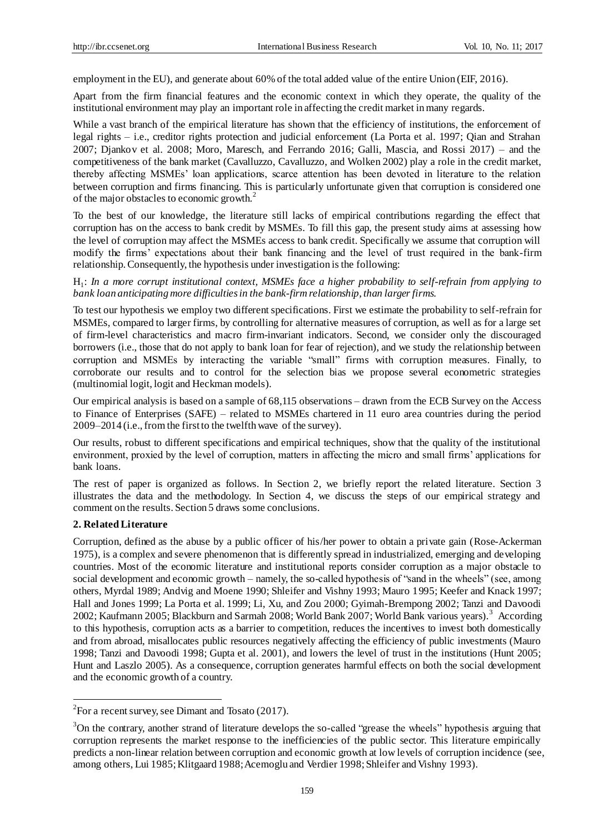employment in the EU), and generate about 60% of the total added value of the entire Union (EIF, 2016).

Apart from the firm financial features and the economic context in which they operate, the quality of the institutional environment may play an important role in affecting the credit market in many regards.

While a vast branch of the empirical literature has shown that the efficiency of institutions, the enforcement of legal rights – i.e., creditor rights protection and judicial enforcement (La Porta et al. 1997; Qian and Strahan 2007; Djankov et al. 2008; Moro, Maresch, and Ferrando 2016; Galli, Mascia, and Rossi 2017) – and the competitiveness of the bank market (Cavalluzzo, Cavalluzzo, and Wolken 2002) play a role in the credit market, thereby affecting MSMEs' loan applications, scarce attention has been devoted in literature to the relation between corruption and firms financing. This is particularly unfortunate given that corruption is considered one of the major obstacles to economic growth.<sup>2</sup>

To the best of our knowledge, the literature still lacks of empirical contributions regarding the effect that corruption has on the access to bank credit by MSMEs. To fill this gap, the present study aims at assessing how the level of corruption may affect the MSMEs access to bank credit. Specifically we assume that corruption will modify the firms' expectations about their bank financing and the level of trust required in the bank-firm relationship. Consequently, the hypothesis under investigation is the following:

H1 : *In a more corrupt institutional context, MSMEs face a higher probability to self-refrain from applying to bank loan anticipating more difficulties in the bank-firm relationship, than larger firms.* 

To test our hypothesis we employ two different specifications. First we estimate the probability to self-refrain for MSMEs, compared to larger firms, by controlling for alternative measures of corruption, as well as for a large set of firm-level characteristics and macro firm-invariant indicators. Second, we consider only the discouraged borrowers (i.e., those that do not apply to bank loan for fear of rejection), and we study the relationship between corruption and MSMEs by interacting the variable "small" firms with corruption measures. Finally, to corroborate our results and to control for the selection bias we propose several econometric strategies (multinomial logit, logit and Heckman models).

Our empirical analysis is based on a sample of 68,115 observations – drawn from the ECB Survey on the Access to Finance of Enterprises (SAFE) – related to MSMEs chartered in 11 euro area countries during the period 2009–2014 (i.e., from the first to the twelfth wave of the survey).

Our results, robust to different specifications and empirical techniques, show that the quality of the institutional environment, proxied by the level of corruption, matters in affecting the micro and small firms' applications for bank loans.

The rest of paper is organized as follows. In Section 2, we briefly report the related literature. Section 3 illustrates the data and the methodology. In Section 4, we discuss the steps of our empirical strategy and comment on the results. Section 5 draws some conclusions.

## **2. RelatedLiterature**

1

Corruption, defined as the abuse by a public officer of his/her power to obtain a private gain (Rose-Ackerman 1975), is a complex and severe phenomenon that is differently spread in industrialized, emerging and developing countries. Most of the economic literature and institutional reports consider corruption as a major obstacle to social development and economic growth – namely, the so-called hypothesis of "sand in the wheels" (see, among others, Myrdal 1989; Andvig and Moene 1990; Shleifer and Vishny 1993; Mauro 1995; Keefer and Knack 1997; Hall and Jones 1999; La Porta et al. 1999; Li, Xu, and Zou 2000; Gyimah-Brempong 2002; Tanzi and Davoodi 2002; Kaufmann 2005; Blackburn and Sarmah 2008; World Bank 2007; World Bank various years).<sup>3</sup> According to this hypothesis, corruption acts as a barrier to competition, reduces the incentives to invest both domestically and from abroad, misallocates public resources negatively affecting the efficiency of public investments (Mauro 1998; Tanzi and Davoodi 1998; Gupta et al. 2001), and lowers the level of trust in the institutions (Hunt 2005; Hunt and Laszlo 2005). As a consequence, corruption generates harmful effects on both the social development and the economic growth of a country.

 ${}^{2}$ For a recent survey, see Dimant and Tosato (2017).

<sup>3</sup>On the contrary, another strand of literature develops the so-called "grease the wheels" hypothesis arguing that corruption represents the market response to the inefficiencies of the public sector. This literature empirically predicts a non-linear relation between corruption and economic growth at low levels of corruption incidence (see, among others, Lui 1985; Klitgaard 1988; Acemoglu and Verdier 1998; Shleifer and Vishny 1993).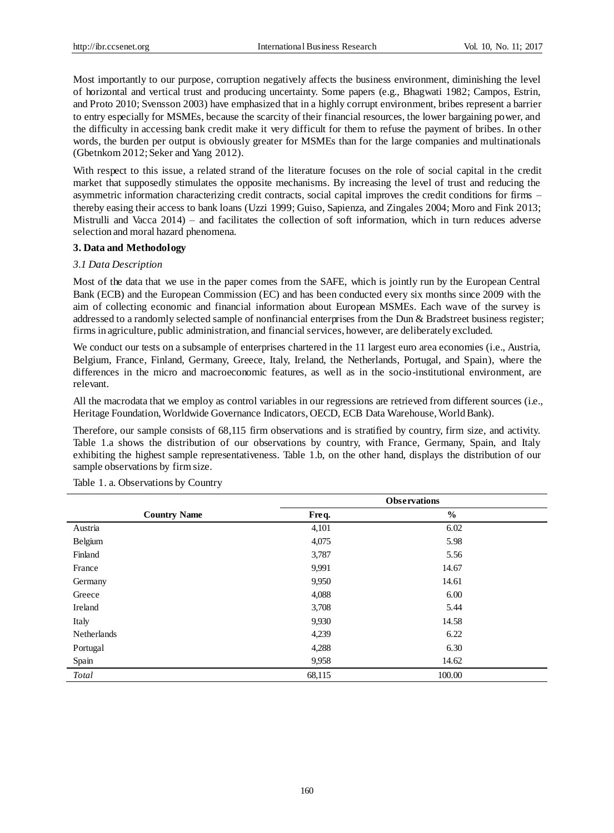Most importantly to our purpose, corruption negatively affects the business environment, diminishing the level of horizontal and vertical trust and producing uncertainty. Some papers (e.g., Bhagwati 1982; Campos, Estrin, and Proto 2010; Svensson 2003) have emphasized that in a highly corrupt environment, bribes represent a barrier to entry especially for MSMEs, because the scarcity of their financial resources, the lower bargaining power, and the difficulty in accessing bank credit make it very difficult for them to refuse the payment of bribes. In o ther words, the burden per output is obviously greater for MSMEs than for the large companies and multinationals (Gbetnkom 2012; Seker and Yang 2012).

With respect to this issue, a related strand of the literature focuses on the role of social capital in the credit market that supposedly stimulates the opposite mechanisms. By increasing the level of trust and reducing the asymmetric information characterizing credit contracts, social capital improves the credit conditions for firms – thereby easing their access to bank loans (Uzzi 1999; Guiso, Sapienza, and Zingales 2004; Moro and Fink 2013; Mistrulli and Vacca 2014) – and facilitates the collection of soft information, which in turn reduces adverse selection and moral hazard phenomena.

## **3. Data and Methodology**

## *3.1 Data Description*

Most of the data that we use in the paper comes from the SAFE, which is jointly run by the European Central Bank (ECB) and the European Commission (EC) and has been conducted every six months since 2009 with the aim of collecting economic and financial information about European MSMEs. Each wave of the survey is addressed to a randomly selected sample of nonfinancial enterprises from the Dun & Bradstreet business register; firms in agriculture, public administration, and financial services, however, are deliberately excluded.

We conduct our tests on a subsample of enterprises chartered in the 11 largest euro area economies (i.e., Austria, Belgium, France, Finland, Germany, Greece, Italy, Ireland, the Netherlands, Portugal, and Spain), where the differences in the micro and macroeconomic features, as well as in the socio-institutional environment, are relevant.

All the macrodata that we employ as control variables in our regressions are retrieved from different sources (i.e., Heritage Foundation, Worldwide Governance Indicators, OECD, ECB Data Warehouse, World Bank).

Therefore, our sample consists of 68,115 firm observations and is stratified by country, firm size, and activity. Table 1.a shows the distribution of our observations by country, with France, Germany, Spain, and Italy exhibiting the highest sample representativeness. Table 1.b, on the other hand, displays the distribution of our sample observations by firm size.

|                     |        | <b>Observations</b> |  |
|---------------------|--------|---------------------|--|
| <b>Country Name</b> | Freq.  | $\frac{0}{0}$       |  |
| Austria             | 4,101  | 6.02                |  |
| Belgium             | 4,075  | 5.98                |  |
| Finland             | 3,787  | 5.56                |  |
| France              | 9,991  | 14.67               |  |
| Germany             | 9,950  | 14.61               |  |
| Greece              | 4,088  | 6.00                |  |
| Ireland             | 3,708  | 5.44                |  |
| Italy               | 9,930  | 14.58               |  |
| Netherlands         | 4,239  | 6.22                |  |
| Portugal            | 4,288  | 6.30                |  |
| Spain               | 9,958  | 14.62               |  |
| Total               | 68,115 | 100.00              |  |

Table 1. a. Observations by Country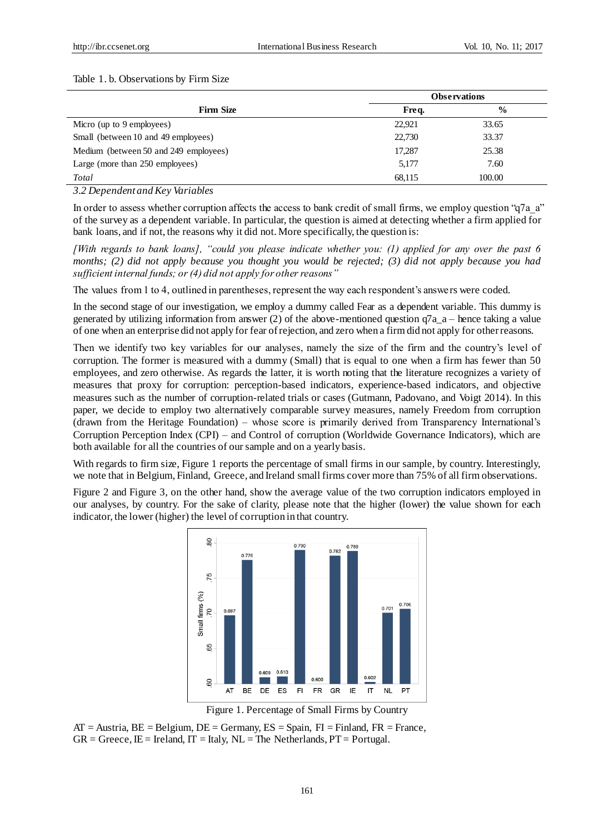#### Table 1. b. Observations by Firm Size

|                                       |        | <b>Observations</b> |  |
|---------------------------------------|--------|---------------------|--|
| <b>Firm Size</b>                      | Freq.  | $\frac{0}{0}$       |  |
| Micro (up to 9 employees)             | 22,921 | 33.65               |  |
| Small (between 10 and 49 employees)   | 22,730 | 33.37               |  |
| Medium (between 50 and 249 employees) | 17,287 | 25.38               |  |
| Large (more than 250 employees)       | 5,177  | 7.60                |  |
| Total                                 | 68,115 | 100.00              |  |

# *3.2 Dependent and Key Variables*

In order to assess whether corruption affects the access to bank credit of small firms, we employ question "q7a\_a" of the survey as a dependent variable. In particular, the question is aimed at detecting whether a firm applied for bank loans, and if not, the reasons why it did not. More specifically, the question is:

*[With regards to bank loans], "could you please indicate whether you: (1) applied for any over the past 6 months; (2) did not apply because you thought you would be rejected; (3) did not apply because you had sufficient internal funds; or (4) did not apply for other reasons"*

The values from 1 to 4, outlined in parentheses, represent the way each respondent's answers were coded.

In the second stage of our investigation, we employ a dummy called Fear as a dependent variable. This dummy is generated by utilizing information from answer (2) of the above-mentioned question  $q7a$  a – hence taking a value of one when an enterprise did not apply for fear of rejection, and zero when a firm did not apply for other reasons.

Then we identify two key variables for our analyses, namely the size of the firm and the country's level of corruption. The former is measured with a dummy (Small) that is equal to one when a firm has fewer than 50 employees, and zero otherwise. As regards the latter, it is worth noting that the literature recognizes a variety of measures that proxy for corruption: perception-based indicators, experience-based indicators, and objective measures such as the number of corruption-related trials or cases (Gutmann, Padovano, and Voigt 2014). In this paper, we decide to employ two alternatively comparable survey measures, namely Freedom from corruption (drawn from the Heritage Foundation) – whose score is primarily derived from Transparency International's Corruption Perception Index (CPI) – and Control of corruption (Worldwide Governance Indicators), which are both available for all the countries of our sample and on a yearly basis.

With regards to firm size, Figure 1 reports the percentage of small firms in our sample, by country. Interestingly, we note that in Belgium, Finland, Greece, and Ireland small firms cover more than 75% of all firm observations.

Figure 2 and Figure 3, on the other hand, show the average value of the two corruption indicators employed in our analyses, by country. For the sake of clarity, please note that the higher (lower) the value shown for each indicator, the lower (higher) the level of corruption in that country.



Figure 1. Percentage of Small Firms by Country

 $AT =$  Austria,  $BE =$  Belgium,  $DE =$  Germany,  $ES =$  Spain,  $FI =$  Finland,  $FR =$  France,  $GR = Greece, IE = Ireland, IT = Italy, NL = The Netherlands, PT = Portugal.$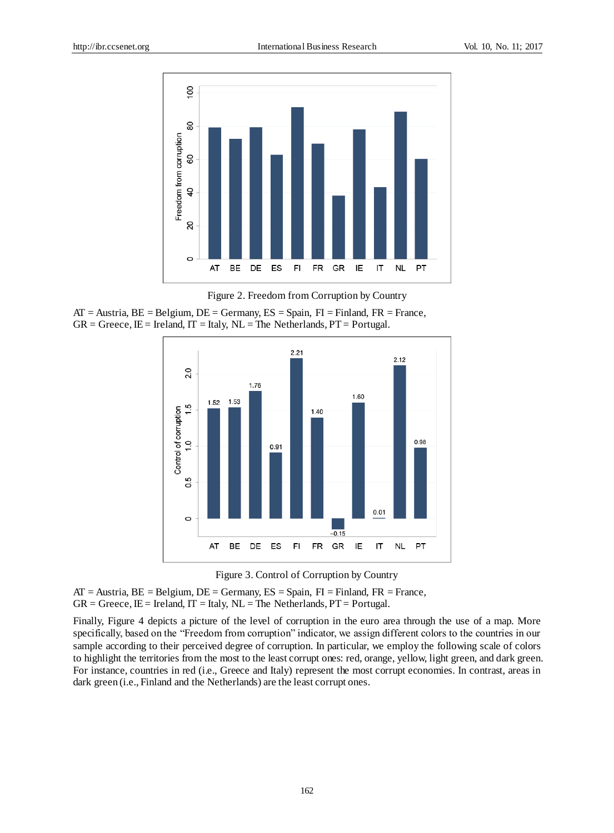



 $AT =$  Austria,  $BE =$  Belgium,  $DE =$  Germany,  $ES =$  Spain,  $FI =$  Finland,  $FR =$  France,  $GR = Greece, IE = Ireland, IT = Italy, NL = The Netherlands, PT = Portugal.$ 





 $AT =$  Austria,  $BE =$  Belgium,  $DE =$  Germany,  $ES =$  Spain,  $FI =$  Finland,  $FR =$  France,  $GR = Greece, IE = Ireland, IT = Italy, NL = The Netherlands, PT = Portugal.$ 

Finally, Figure 4 depicts a picture of the level of corruption in the euro area through the use of a map. More specifically, based on the "Freedom from corruption" indicator, we assign different colors to the countries in our sample according to their perceived degree of corruption. In particular, we employ the following scale of colors to highlight the territories from the most to the least corrupt ones: red, orange, yellow, light green, and dark green. For instance, countries in red (i.e., Greece and Italy) represent the most corrupt economies. In contrast, areas in dark green (i.e., Finland and the Netherlands) are the least corrupt ones.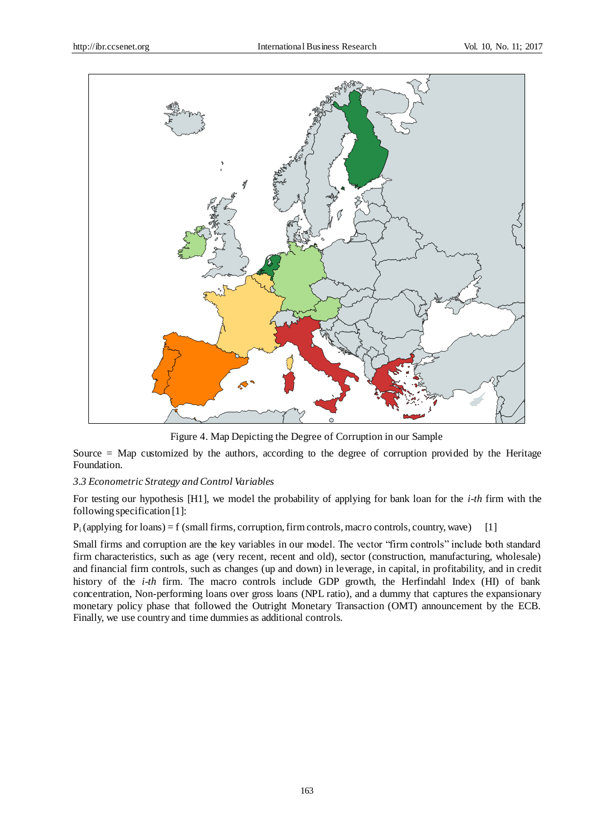

Figure 4. Map Depicting the Degree of Corruption in our Sample

Source = Map customized by the authors, according to the degree of corruption provided by the Heritage Foundation.

## *3.3 Econometric Strategy andControl Variables*

For testing our hypothesis [H1], we model the probability of applying for bank loan for the *i-th* firm with the following specification [1]:

 $P_i$  (applying for loans) = f (small firms, corruption, firm controls, macro controls, country, wave) [1]

Small firms and corruption are the key variables in our model. The vector "firm controls" include both standard firm characteristics, such as age (very recent, recent and old), sector (construction, manufacturing, wholesale) and financial firm controls, such as changes (up and down) in leverage, in capital, in profitability, and in credit history of the *i-th* firm. The macro controls include GDP growth, the Herfindahl Index (HI) of bank concentration, Non-performing loans over gross loans (NPL ratio), and a dummy that captures the expansionary monetary policy phase that followed the Outright Monetary Transaction (OMT) announcement by the ECB. Finally, we use country and time dummies as additional controls.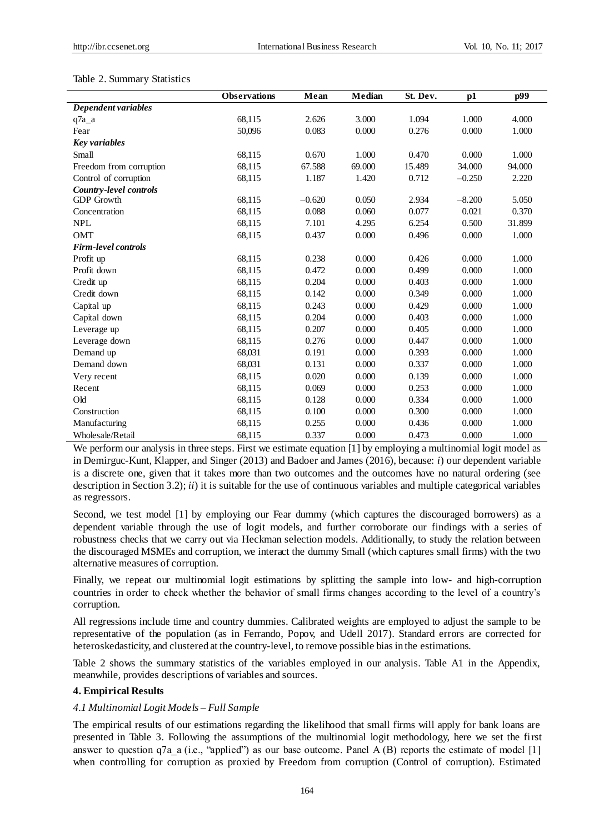#### Table 2. Summary Statistics

|                            | <b>Observations</b> | Mean     | Median | St. Dev. | p1       | p99    |
|----------------------------|---------------------|----------|--------|----------|----------|--------|
| Dependent variables        |                     |          |        |          |          |        |
| $q7a_a$                    | 68,115              | 2.626    | 3.000  | 1.094    | 1.000    | 4.000  |
| Fear                       | 50,096              | 0.083    | 0.000  | 0.276    | 0.000    | 1.000  |
| <b>Key variables</b>       |                     |          |        |          |          |        |
| Small                      | 68,115              | 0.670    | 1.000  | 0.470    | 0.000    | 1.000  |
| Freedom from corruption    | 68,115              | 67.588   | 69.000 | 15.489   | 34.000   | 94.000 |
| Control of corruption      | 68,115              | 1.187    | 1.420  | 0.712    | $-0.250$ | 2.220  |
| Country-level controls     |                     |          |        |          |          |        |
| <b>GDP</b> Growth          | 68,115              | $-0.620$ | 0.050  | 2.934    | $-8.200$ | 5.050  |
| Concentration              | 68,115              | 0.088    | 0.060  | 0.077    | 0.021    | 0.370  |
| <b>NPL</b>                 | 68,115              | 7.101    | 4.295  | 6.254    | 0.500    | 31.899 |
| <b>OMT</b>                 | 68,115              | 0.437    | 0.000  | 0.496    | 0.000    | 1.000  |
| <b>Firm-level controls</b> |                     |          |        |          |          |        |
| Profit up                  | 68,115              | 0.238    | 0.000  | 0.426    | 0.000    | 1.000  |
| Profit down                | 68,115              | 0.472    | 0.000  | 0.499    | 0.000    | 1.000  |
| Credit up                  | 68,115              | 0.204    | 0.000  | 0.403    | 0.000    | 1.000  |
| Credit down                | 68,115              | 0.142    | 0.000  | 0.349    | 0.000    | 1.000  |
| Capital up                 | 68,115              | 0.243    | 0.000  | 0.429    | 0.000    | 1.000  |
| Capital down               | 68,115              | 0.204    | 0.000  | 0.403    | 0.000    | 1.000  |
| Leverage up                | 68,115              | 0.207    | 0.000  | 0.405    | 0.000    | 1.000  |
| Leverage down              | 68,115              | 0.276    | 0.000  | 0.447    | 0.000    | 1.000  |
| Demand up                  | 68,031              | 0.191    | 0.000  | 0.393    | 0.000    | 1.000  |
| Demand down                | 68,031              | 0.131    | 0.000  | 0.337    | 0.000    | 1.000  |
| Very recent                | 68,115              | 0.020    | 0.000  | 0.139    | 0.000    | 1.000  |
| Recent                     | 68,115              | 0.069    | 0.000  | 0.253    | 0.000    | 1.000  |
| Old                        | 68,115              | 0.128    | 0.000  | 0.334    | 0.000    | 1.000  |
| Construction               | 68,115              | 0.100    | 0.000  | 0.300    | 0.000    | 1.000  |
| Manufacturing              | 68,115              | 0.255    | 0.000  | 0.436    | 0.000    | 1.000  |
| Wholesale/Retail           | 68,115              | 0.337    | 0.000  | 0.473    | 0.000    | 1.000  |

We perform our analysis in three steps. First we estimate equation [1] by employing a multinomial logit model as in Demirguc-Kunt, Klapper, and Singer (2013) and Badoer and James (2016), because: *i*) our dependent variable is a discrete one, given that it takes more than two outcomes and the outcomes have no natural ordering (see description in Section 3.2); *ii*) it is suitable for the use of continuous variables and multiple categorical variables as regressors.

Second, we test model [1] by employing our Fear dummy (which captures the discouraged borrowers) as a dependent variable through the use of logit models, and further corroborate our findings with a series of robustness checks that we carry out via Heckman selection models. Additionally, to study the relation between the discouraged MSMEs and corruption, we interact the dummy Small (which captures small firms) with the two alternative measures of corruption.

Finally, we repeat our multinomial logit estimations by splitting the sample into low- and high-corruption countries in order to check whether the behavior of small firms changes according to the level of a country's corruption.

All regressions include time and country dummies. Calibrated weights are employed to adjust the sample to be representative of the population (as in Ferrando, Popov, and Udell 2017). Standard errors are corrected for heteroskedasticity, and clustered at the country-level, to remove possible bias in the estimations.

Table 2 shows the summary statistics of the variables employed in our analysis. Table A1 in the Appendix, meanwhile, provides descriptions of variables and sources.

## **4. Empirical Results**

## *4.1 Multinomial Logit Models – Full Sample*

The empirical results of our estimations regarding the likelihood that small firms will apply for bank loans are presented in Table 3. Following the assumptions of the multinomial logit methodology, here we set the first answer to question  $q7a_a$  a (i.e., "applied") as our base outcome. Panel A (B) reports the estimate of model [1] when controlling for corruption as proxied by Freedom from corruption (Control of corruption). Estimated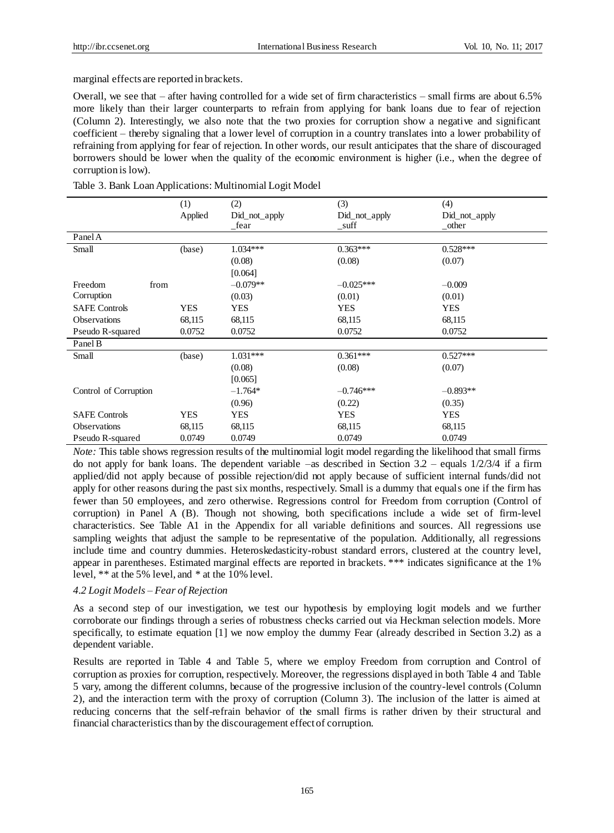marginal effects are reported in brackets.

Overall, we see that – after having controlled for a wide set of firm characteristics – small firms are about 6.5% more likely than their larger counterparts to refrain from applying for bank loans due to fear of rejection (Column 2). Interestingly, we also note that the two proxies for corruption show a negative and significant coefficient – thereby signaling that a lower level of corruption in a country translates into a lower probability of refraining from applying for fear of rejection. In other words, our result anticipates that the share of discouraged borrowers should be lower when the quality of the economic environment is higher (i.e., when the degree of corruption is low).

#### Table 3. Bank Loan Applications: Multinomial Logit Model

|                       | (1)        | (2)           | (3)           | (4)           |
|-----------------------|------------|---------------|---------------|---------------|
|                       | Applied    | Did_not_apply | Did not apply | Did_not_apply |
|                       |            | _fear         | $\_suff$      | _other        |
| Panel A               |            |               |               |               |
| Small                 | (base)     | $1.034***$    | $0.363***$    | $0.528***$    |
|                       |            | (0.08)        | (0.08)        | (0.07)        |
|                       |            | [0.064]       |               |               |
| from<br>Freedom       |            | $-0.079**$    | $-0.025***$   | $-0.009$      |
| Corruption            |            | (0.03)        | (0.01)        | (0.01)        |
| <b>SAFE Controls</b>  | <b>YES</b> | <b>YES</b>    | <b>YES</b>    | <b>YES</b>    |
| <b>Observations</b>   | 68,115     | 68,115        | 68,115        | 68,115        |
| Pseudo R-squared      | 0.0752     | 0.0752        | 0.0752        | 0.0752        |
| Panel B               |            |               |               |               |
| Small                 | (base)     | $1.031***$    | $0.361***$    | $0.527***$    |
|                       |            | (0.08)        | (0.08)        | (0.07)        |
|                       |            | [0.065]       |               |               |
| Control of Corruption |            | $-1.764*$     | $-0.746***$   | $-0.893**$    |
|                       |            | (0.96)        | (0.22)        | (0.35)        |
| <b>SAFE Controls</b>  | <b>YES</b> | YES           | <b>YES</b>    | <b>YES</b>    |
| <b>Observations</b>   | 68,115     | 68,115        | 68,115        | 68,115        |
| Pseudo R-squared      | 0.0749     | 0.0749        | 0.0749        | 0.0749        |

*Note:* This table shows regression results of the multinomial logit model regarding the likelihood that small firms do not apply for bank loans. The dependent variable –as described in Section  $3.2$  – equals  $1/2/3/4$  if a firm applied/did not apply because of possible rejection/did not apply because of sufficient internal funds/did not apply for other reasons during the past six months, respectively. Small is a dummy that equals one if the firm has fewer than 50 employees, and zero otherwise. Regressions control for Freedom from corruption (Control of corruption) in Panel A (B). Though not showing, both specifications include a wide set of firm-level characteristics. See Table A1 in the Appendix for all variable definitions and sources. All regressions use sampling weights that adjust the sample to be representative of the population. Additionally, all regressions include time and country dummies. Heteroskedasticity-robust standard errors, clustered at the country level, appear in parentheses. Estimated marginal effects are reported in brackets. \*\*\* indicates significance at the 1% level, \*\* at the 5% level, and \* at the 10% level.

## *4.2 Logit Models – Fear of Rejection*

As a second step of our investigation, we test our hypothesis by employing logit models and we further corroborate our findings through a series of robustness checks carried out via Heckman selection models. More specifically, to estimate equation [1] we now employ the dummy Fear (already described in Section 3.2) as a dependent variable.

Results are reported in Table 4 and Table 5, where we employ Freedom from corruption and Control of corruption as proxies for corruption, respectively. Moreover, the regressions displayed in both Table 4 and Table 5 vary, among the different columns, because of the progressive inclusion of the country-level controls (Column 2), and the interaction term with the proxy of corruption (Column 3). The inclusion of the latter is aimed at reducing concerns that the self-refrain behavior of the small firms is rather driven by their structural and financial characteristics than by the discouragement effect of corruption.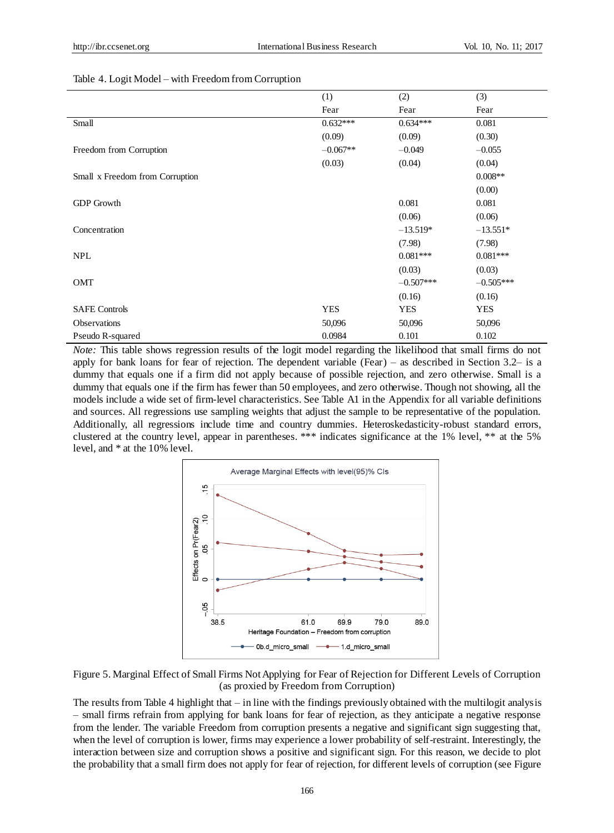#### Table 4. Logit Model – with Freedom from Corruption

|                                 | (1)        | (2)         | (3)         |
|---------------------------------|------------|-------------|-------------|
|                                 | Fear       | Fear        | Fear        |
| Small                           | $0.632***$ | $0.634***$  | 0.081       |
|                                 | (0.09)     | (0.09)      | (0.30)      |
| Freedom from Corruption         | $-0.067**$ | $-0.049$    | $-0.055$    |
|                                 | (0.03)     | (0.04)      | (0.04)      |
| Small x Freedom from Corruption |            |             | $0.008**$   |
|                                 |            |             | (0.00)      |
| <b>GDP</b> Growth               |            | 0.081       | 0.081       |
|                                 |            | (0.06)      | (0.06)      |
| Concentration                   |            | $-13.519*$  | $-13.551*$  |
|                                 |            | (7.98)      | (7.98)      |
| <b>NPL</b>                      |            | $0.081***$  | $0.081***$  |
|                                 |            | (0.03)      | (0.03)      |
| OMT                             |            | $-0.507***$ | $-0.505***$ |
|                                 |            | (0.16)      | (0.16)      |
| <b>SAFE Controls</b>            | <b>YES</b> | <b>YES</b>  | <b>YES</b>  |
| Observations                    | 50,096     | 50,096      | 50,096      |
| Pseudo R-squared                | 0.0984     | 0.101       | 0.102       |

*Note:* This table shows regression results of the logit model regarding the likelihood that small firms do not apply for bank loans for fear of rejection. The dependent variable (Fear) – as described in Section 3.2– is a dummy that equals one if a firm did not apply because of possible rejection, and zero otherwise. Small is a dummy that equals one if the firm has fewer than 50 employees, and zero otherwise. Though not showing, all the models include a wide set of firm-level characteristics. See Table A1 in the Appendix for all variable definitions and sources. All regressions use sampling weights that adjust the sample to be representative of the population. Additionally, all regressions include time and country dummies. Heteroskedasticity-robust standard errors, clustered at the country level, appear in parentheses. \*\*\* indicates significance at the 1% level, \*\* at the 5% level, and \* at the 10% level.



Figure 5. Marginal Effect of Small Firms Not Applying for Fear of Rejection for Different Levels of Corruption (as proxied by Freedom from Corruption)

The results from Table 4 highlight that – in line with the findings previously obtained with the multilogit analysis – small firms refrain from applying for bank loans for fear of rejection, as they anticipate a negative response from the lender. The variable Freedom from corruption presents a negative and significant sign suggesting that, when the level of corruption is lower, firms may experience a lower probability of self-restraint. Interestingly, the interaction between size and corruption shows a positive and significant sign. For this reason, we decide to plot the probability that a small firm does not apply for fear of rejection, for different levels of corruption (see Figure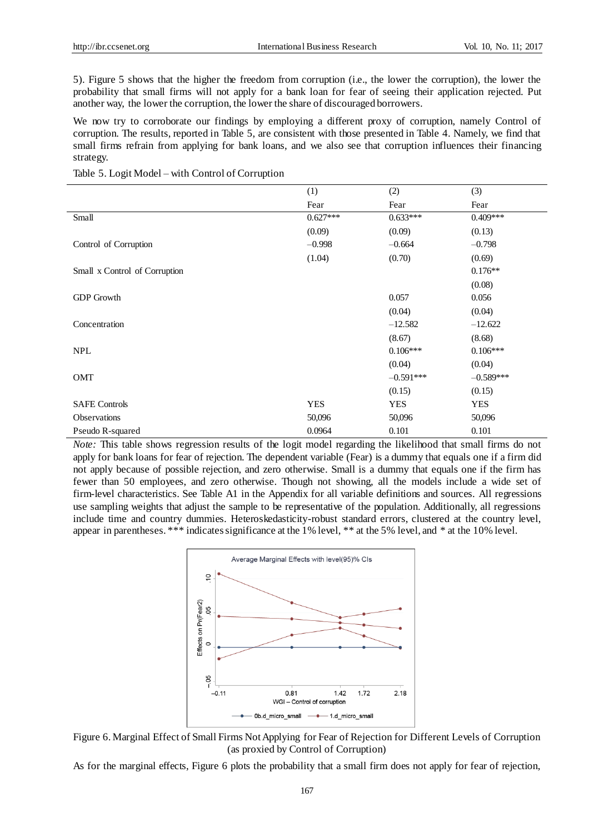5). Figure 5 shows that the higher the freedom from corruption (i.e., the lower the corruption), the lower the probability that small firms will not apply for a bank loan for fear of seeing their application rejected. Put another way, the lower the corruption, the lower the share of discouraged borrowers.

We now try to corroborate our findings by employing a different proxy of corruption, namely Control of corruption. The results, reported in Table 5, are consistent with those presented in Table 4. Namely, we find that small firms refrain from applying for bank loans, and we also see that corruption influences their financing strategy.

Table 5. Logit Model – with Control of Corruption

|                               | (1)        | (2)         | (3)         |
|-------------------------------|------------|-------------|-------------|
|                               | Fear       | Fear        | Fear        |
| Small                         | $0.627***$ | $0.633***$  | $0.409***$  |
|                               | (0.09)     | (0.09)      | (0.13)      |
| Control of Corruption         | $-0.998$   | $-0.664$    | $-0.798$    |
|                               | (1.04)     | (0.70)      | (0.69)      |
| Small x Control of Corruption |            |             | $0.176**$   |
|                               |            |             | (0.08)      |
| <b>GDP</b> Growth             |            | 0.057       | 0.056       |
|                               |            | (0.04)      | (0.04)      |
| Concentration                 |            | $-12.582$   | $-12.622$   |
|                               |            | (8.67)      | (8.68)      |
| <b>NPL</b>                    |            | $0.106***$  | $0.106***$  |
|                               |            | (0.04)      | (0.04)      |
| OMT                           |            | $-0.591***$ | $-0.589***$ |
|                               |            | (0.15)      | (0.15)      |
| <b>SAFE Controls</b>          | <b>YES</b> | <b>YES</b>  | YES         |
| Observations                  | 50,096     | 50,096      | 50,096      |
| Pseudo R-squared              | 0.0964     | 0.101       | 0.101       |

*Note:* This table shows regression results of the logit model regarding the likelihood that small firms do not apply for bank loans for fear of rejection. The dependent variable (Fear) is a dummy that equals one if a firm did not apply because of possible rejection, and zero otherwise. Small is a dummy that equals one if the firm has fewer than 50 employees, and zero otherwise. Though not showing, all the models include a wide set of firm-level characteristics. See Table A1 in the Appendix for all variable definitions and sources. All regressions use sampling weights that adjust the sample to be representative of the population. Additionally, all regressions include time and country dummies. Heteroskedasticity-robust standard errors, clustered at the country level, appear in parentheses. \*\*\* indicates significance at the 1% level, \*\* at the 5% level, and \* at the 10% level.



Figure 6. Marginal Effect of Small Firms Not Applying for Fear of Rejection for Different Levels of Corruption (as proxied by Control of Corruption)

As for the marginal effects, Figure 6 plots the probability that a small firm does not apply for fear of rejection,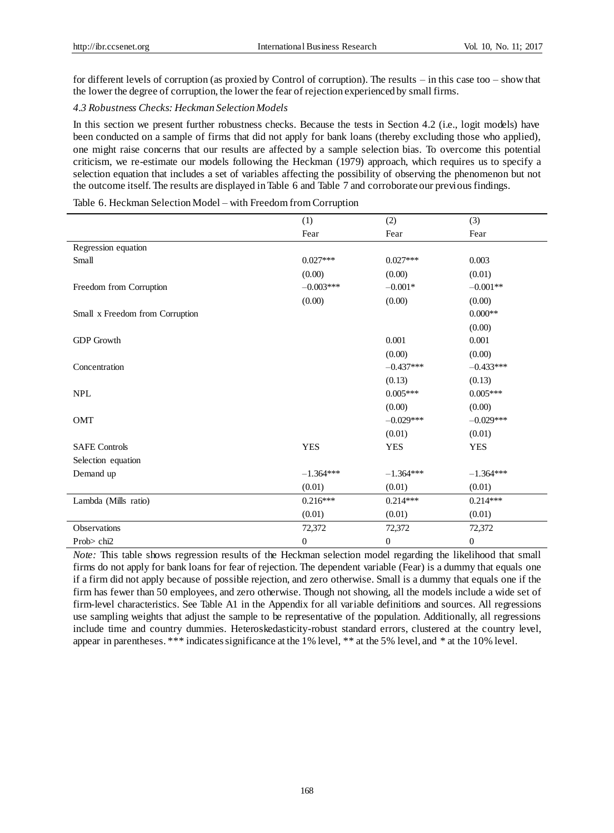for different levels of corruption (as proxied by Control of corruption). The results – in this case too – show that the lower the degree of corruption, the lower the fear of rejection experienced by small firms.

# *4.3 Robustness Checks: Heckman Selection Models*

In this section we present further robustness checks. Because the tests in Section 4.2 (i.e., logit models) have been conducted on a sample of firms that did not apply for bank loans (thereby excluding those who applied), one might raise concerns that our results are affected by a sample selection bias. To overcome this potential criticism, we re-estimate our models following the Heckman (1979) approach, which requires us to specify a selection equation that includes a set of variables affecting the possibility of observing the phenomenon but not the outcome itself. The results are displayed in Table 6 and Table 7 and corroborate our previous findings.

|  |  |  |  |  |  |  | Table 6. Heckman Selection Model - with Freedom from Corruption |
|--|--|--|--|--|--|--|-----------------------------------------------------------------|
|--|--|--|--|--|--|--|-----------------------------------------------------------------|

|                                 | (1)              | (2)          | (3)              |
|---------------------------------|------------------|--------------|------------------|
|                                 | Fear             | Fear         | Fear             |
| Regression equation             |                  |              |                  |
| Small                           | $0.027***$       | $0.027***$   | 0.003            |
|                                 | (0.00)           | (0.00)       | (0.01)           |
| Freedom from Corruption         | $-0.003***$      | $-0.001*$    | $-0.001**$       |
|                                 | (0.00)           | (0.00)       | (0.00)           |
| Small x Freedom from Corruption |                  |              | $0.000**$        |
|                                 |                  |              | (0.00)           |
| <b>GDP</b> Growth               |                  | 0.001        | 0.001            |
|                                 |                  | (0.00)       | (0.00)           |
| Concentration                   |                  | $-0.437***$  | $-0.433***$      |
|                                 |                  | (0.13)       | (0.13)           |
| <b>NPL</b>                      |                  | $0.005***$   | $0.005***$       |
|                                 |                  | (0.00)       | (0.00)           |
| OMT                             |                  | $-0.029***$  | $-0.029***$      |
|                                 |                  | (0.01)       | (0.01)           |
| <b>SAFE Controls</b>            | <b>YES</b>       | <b>YES</b>   | <b>YES</b>       |
| Selection equation              |                  |              |                  |
| Demand up                       | $-1.364***$      | $-1.364***$  | $-1.364***$      |
|                                 | (0.01)           | (0.01)       | (0.01)           |
| Lambda (Mills ratio)            | $0.216***$       | $0.214***$   | $0.214***$       |
|                                 | (0.01)           | (0.01)       | (0.01)           |
| Observations                    | 72,372           | 72,372       | 72,372           |
| Prob> chi2                      | $\boldsymbol{0}$ | $\mathbf{0}$ | $\boldsymbol{0}$ |

*Note:* This table shows regression results of the Heckman selection model regarding the likelihood that small firms do not apply for bank loans for fear of rejection. The dependent variable (Fear) is a dummy that equals one if a firm did not apply because of possible rejection, and zero otherwise. Small is a dummy that equals one if the firm has fewer than 50 employees, and zero otherwise. Though not showing, all the models include a wide set of firm-level characteristics. See Table A1 in the Appendix for all variable definitions and sources. All regressions use sampling weights that adjust the sample to be representative of the population. Additionally, all regressions include time and country dummies. Heteroskedasticity-robust standard errors, clustered at the country level, appear in parentheses. \*\*\* indicates significance at the 1% level, \*\* at the 5% level, and \* at the 10% level.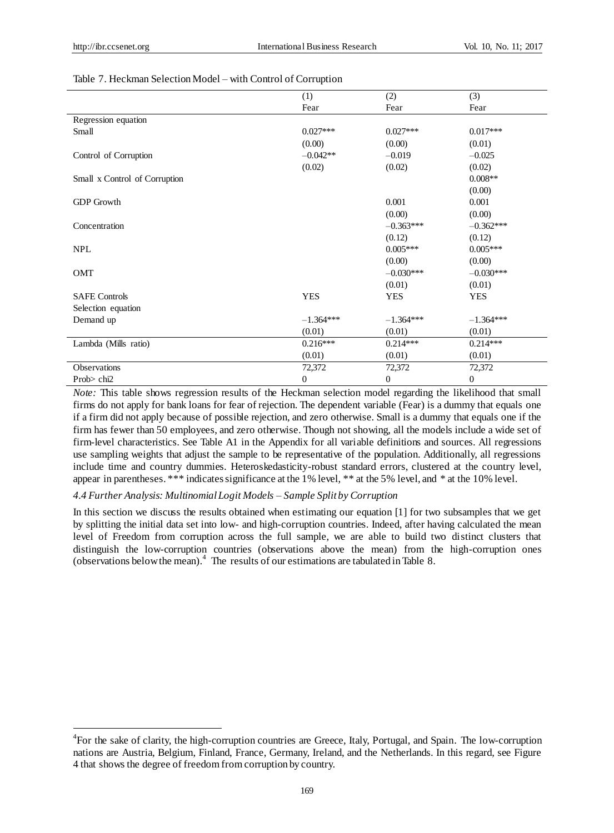1

|                               | (1)              | (2)          | (3)              |  |
|-------------------------------|------------------|--------------|------------------|--|
|                               | Fear             | Fear         | Fear             |  |
| Regression equation           |                  |              |                  |  |
| Small                         | $0.027***$       | $0.027***$   | $0.017***$       |  |
|                               | (0.00)           | (0.00)       | (0.01)           |  |
| Control of Corruption         | $-0.042**$       | $-0.019$     | $-0.025$         |  |
|                               | (0.02)           | (0.02)       | (0.02)           |  |
| Small x Control of Corruption |                  |              | $0.008**$        |  |
|                               |                  |              | (0.00)           |  |
| <b>GDP</b> Growth             |                  | 0.001        | 0.001            |  |
|                               |                  | (0.00)       | (0.00)           |  |
| Concentration                 |                  | $-0.363***$  | $-0.362***$      |  |
|                               |                  | (0.12)       | (0.12)           |  |
| <b>NPL</b>                    |                  | $0.005***$   | $0.005***$       |  |
|                               |                  | (0.00)       | (0.00)           |  |
| OMT                           |                  | $-0.030***$  | $-0.030***$      |  |
|                               |                  | (0.01)       | (0.01)           |  |
| <b>SAFE Controls</b>          | YES              | <b>YES</b>   | <b>YES</b>       |  |
| Selection equation            |                  |              |                  |  |
| Demand up                     | $-1.364***$      | $-1.364***$  | $-1.364***$      |  |
|                               | (0.01)           | (0.01)       | (0.01)           |  |
| Lambda (Mills ratio)          | $0.216***$       | $0.214***$   | $0.214***$       |  |
|                               | (0.01)           | (0.01)       | (0.01)           |  |
| Observations                  | 72,372           | 72,372       | 72,372           |  |
| Prob> chi2                    | $\boldsymbol{0}$ | $\mathbf{0}$ | $\boldsymbol{0}$ |  |

#### Table 7. Heckman Selection Model – with Control of Corruption

*Note:* This table shows regression results of the Heckman selection model regarding the likelihood that small firms do not apply for bank loans for fear of rejection. The dependent variable (Fear) is a dummy that equals one if a firm did not apply because of possible rejection, and zero otherwise. Small is a dummy that equals one if the firm has fewer than 50 employees, and zero otherwise. Though not showing, all the models include a wide set of firm-level characteristics. See Table A1 in the Appendix for all variable definitions and sources. All regressions use sampling weights that adjust the sample to be representative of the population. Additionally, all regressions include time and country dummies. Heteroskedasticity-robust standard errors, clustered at the country level, appear in parentheses. \*\*\* indicates significance at the 1% level, \*\* at the 5% level, and \* at the 10% level.

#### *4.4 Further Analysis: Multinomial Logit Models – Sample Split by Corruption*

In this section we discuss the results obtained when estimating our equation [1] for two subsamples that we get by splitting the initial data set into low- and high-corruption countries. Indeed, after having calculated the mean level of Freedom from corruption across the full sample, we are able to build two distinct clusters that distinguish the low-corruption countries (observations above the mean) from the high-corruption ones (observations below the mean).<sup>4</sup> The results of our estimations are tabulated in Table 8.

<sup>&</sup>lt;sup>4</sup> For the sake of clarity, the high-corruption countries are Greece, Italy, Portugal, and Spain. The low-corruption nations are Austria, Belgium, Finland, France, Germany, Ireland, and the Netherlands. In this regard, see Figure 4 that shows the degree of freedom from corruption by country.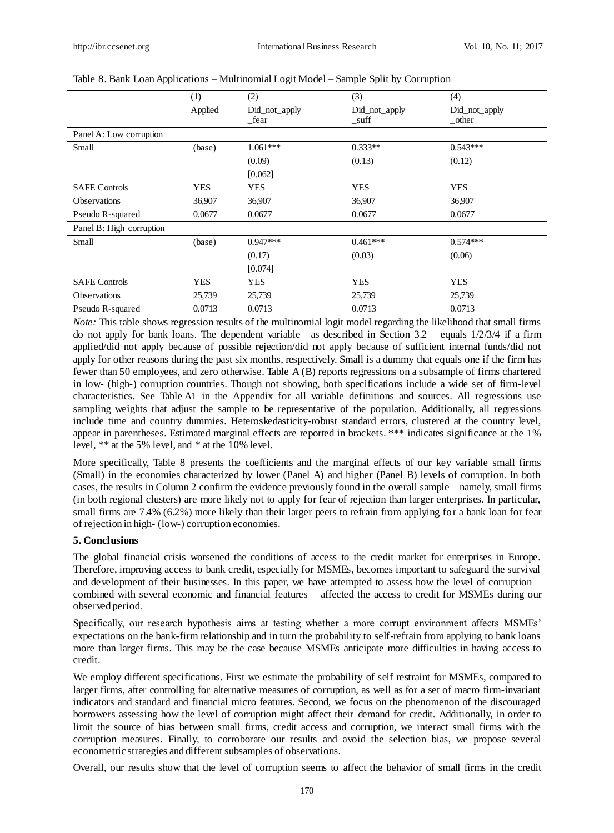|                          | (1)        | (2)                    | (3)                    | (4)                     |
|--------------------------|------------|------------------------|------------------------|-------------------------|
|                          | Applied    | Did_not_apply<br>_fear | Did_not_apply<br>_suff | Did_not_apply<br>_other |
| Panel A: Low corruption  |            |                        |                        |                         |
| Small                    | (base)     | $1.061***$             | $0.333**$              | $0.543***$              |
|                          |            | (0.09)                 | (0.13)                 | (0.12)                  |
|                          |            | [0.062]                |                        |                         |
| <b>SAFE Controls</b>     | <b>YES</b> | <b>YES</b>             | <b>YES</b>             | YES                     |
| <b>Observations</b>      | 36,907     | 36,907                 | 36,907                 | 36,907                  |
| Pseudo R-squared         | 0.0677     | 0.0677                 | 0.0677                 | 0.0677                  |
| Panel B: High corruption |            |                        |                        |                         |
| Small                    | (base)     | $0.947***$             | $0.461***$             | $0.574***$              |
|                          |            | (0.17)                 | (0.03)                 | (0.06)                  |
|                          |            | [0.074]                |                        |                         |
| <b>SAFE Controls</b>     | <b>YES</b> | <b>YES</b>             | <b>YES</b>             | <b>YES</b>              |
| <b>Observations</b>      | 25,739     | 25,739                 | 25,739                 | 25,739                  |
| Pseudo R-squared         | 0.0713     | 0.0713                 | 0.0713                 | 0.0713                  |

#### Table 8. Bank Loan Applications – Multinomial Logit Model – Sample Split by Corruption

*Note:* This table shows regression results of the multinomial logit model regarding the likelihood that small firms do not apply for bank loans. The dependent variable –as described in Section  $3.2$  – equals  $1/2/3/4$  if a firm applied/did not apply because of possible rejection/did not apply because of sufficient internal funds/did not apply for other reasons during the past six months, respectively. Small is a dummy that equals one if the firm has fewer than 50 employees, and zero otherwise. Table A (B) reports regressions on a subsample of firms chartered in low- (high-) corruption countries. Though not showing, both specifications include a wide set of firm-level characteristics. See Table A1 in the Appendix for all variable definitions and sources. All regressions use sampling weights that adjust the sample to be representative of the population. Additionally, all regressions include time and country dummies. Heteroskedasticity-robust standard errors, clustered at the country level, appear in parentheses. Estimated marginal effects are reported in brackets. \*\*\* indicates significance at the 1% level, \*\* at the 5% level, and \* at the 10% level.

More specifically, Table 8 presents the coefficients and the marginal effects of our key variable small firms (Small) in the economies characterized by lower (Panel A) and higher (Panel B) levels of corruption. In both cases, the results in Column 2 confirm the evidence previously found in the overall sample – namely, small firms (in both regional clusters) are more likely not to apply for fear of rejection than larger enterprises. In particular, small firms are 7.4% (6.2%) more likely than their larger peers to refrain from applying for a bank loan for fear of rejection in high- (low-) corruption economies.

## **5. Conclusions**

The global financial crisis worsened the conditions of access to the credit market for enterprises in Europe. Therefore, improving access to bank credit, especially for MSMEs, becomes important to safeguard the survival and development of their businesses. In this paper, we have attempted to assess how the level of corruption – combined with several economic and financial features – affected the access to credit for MSMEs during our observed period.

Specifically, our research hypothesis aims at testing whether a more corrupt environment affects MSMEs' expectations on the bank-firm relationship and in turn the probability to self-refrain from applying to bank loans more than larger firms. This may be the case because MSMEs anticipate more difficulties in having access to credit.

We employ different specifications. First we estimate the probability of self restraint for MSMEs, compared to larger firms, after controlling for alternative measures of corruption, as well as for a set of macro firm-invariant indicators and standard and financial micro features. Second, we focus on the phenomenon of the discouraged borrowers assessing how the level of corruption might affect their demand for credit. Additionally, in order to limit the source of bias between small firms, credit access and corruption, we interact small firms with the corruption measures. Finally, to corroborate our results and avoid the selection bias, we propose several econometric strategies and different subsamples of observations.

Overall, our results show that the level of corruption seems to affect the behavior of small firms in the credit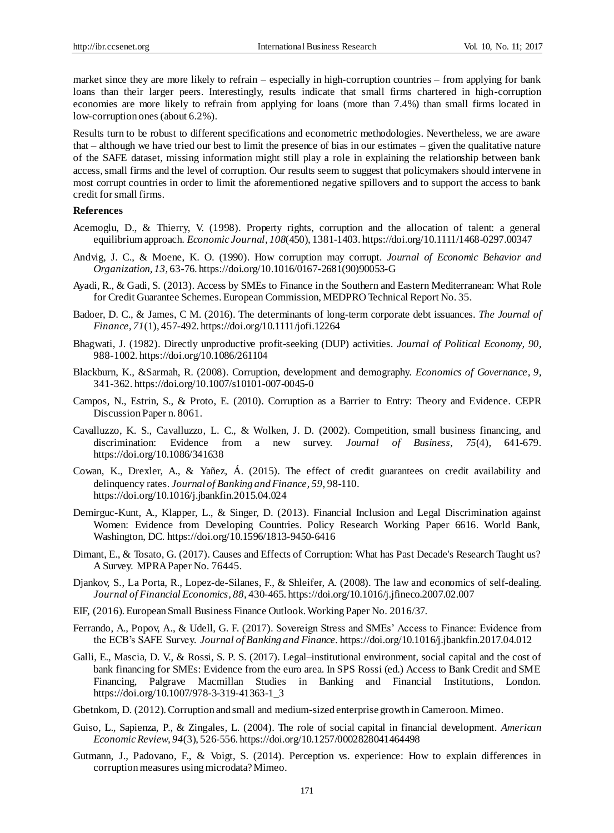market since they are more likely to refrain – especially in high-corruption countries – from applying for bank loans than their larger peers. Interestingly, results indicate that small firms chartered in high-corruption economies are more likely to refrain from applying for loans (more than 7.4%) than small firms located in low-corruption ones (about 6.2%).

Results turn to be robust to different specifications and econometric methodologies. Nevertheless, we are aware that – although we have tried our best to limit the presence of bias in our estimates – given the qualitative nature of the SAFE dataset, missing information might still play a role in explaining the relationship between bank access, small firms and the level of corruption. Our results seem to suggest that policymakers should intervene in most corrupt countries in order to limit the aforementioned negative spillovers and to support the access to bank credit for small firms.

#### **References**

- Acemoglu, D., & Thierry, V. (1998). Property rights, corruption and the allocation of talent: a general equilibrium approach. *Economic Journal, 108*(450), 1381-1403. https://doi.org/10.1111/1468-0297.00347
- Andvig, J. C., & Moene, K. O. (1990). How corruption may corrupt. *Journal of Economic Behavior and Organization, 13,* 63-76. https://doi.org/10.1016/0167-2681(90)90053-G
- Ayadi, R., & Gadi, S. (2013). Access by SMEs to Finance in the Southern and Eastern Mediterranean: What Role for Credit Guarantee Schemes. European Commission, MEDPRO Technical Report No. 35.
- Badoer, D. C., & James, C M. (2016). The determinants of long-term corporate debt issuances. *The Journal of Finance, 71*(1), 457-492. https://doi.org/10.1111/jofi.12264
- Bhagwati, J. (1982). Directly unproductive profit-seeking (DUP) activities. *Journal of Political Economy, 90,*  988-1002. https://doi.org/10.1086/261104
- Blackburn, K., &Sarmah, R. (2008). Corruption, development and demography. *Economics of Governance, 9,* 341-362. https://doi.org/10.1007/s10101-007-0045-0
- Campos, N., Estrin, S., & Proto, E. (2010). Corruption as a Barrier to Entry: Theory and Evidence. CEPR Discussion Paper n. 8061.
- Cavalluzzo, K. S., Cavalluzzo, L. C., & Wolken, J. D. (2002). Competition, small business financing, and discrimination: Evidence from a new survey. *Journal of Business, 75*(4), 641-679. https://doi.org/10.1086/341638
- Cowan, K., Drexler, A., & Yañez, Á. (2015). The effect of credit guarantees on credit availability and delinquency rates. *Journal of Banking and Finance, 59,* 98-110. https://doi.org/10.1016/j.jbankfin.2015.04.024
- Demirguc-Kunt, A., Klapper, L., & Singer, D. (2013). Financial Inclusion and Legal Discrimination against Women: Evidence from Developing Countries. Policy Research Working Paper 6616. World Bank, Washington, DC. https://doi.org/10.1596/1813-9450-6416
- Dimant, E., & Tosato, G. (2017). Causes and Effects of Corruption: What has Past Decade's Research Taught us? A Survey. MPRA Paper No. 76445.
- Djankov, S., La Porta, R., Lopez-de-Silanes, F., & Shleifer, A. (2008). The law and economics of self-dealing. *Journal of Financial Economics, 88,* 430-465. https://doi.org/10.1016/j.jfineco.2007.02.007
- EIF, (2016). European Small Business Finance Outlook. Working Paper No. 2016/37.
- Ferrando, A., Popov, A., & Udell, G. F. (2017). Sovereign Stress and SMEs' Access to Finance: Evidence from the ECB's SAFE Survey. *Journal of Banking and Finance.* https://doi.org/10.1016/j.jbankfin.2017.04.012
- Galli, E., Mascia, D. V., & Rossi, S. P. S. (2017). Legal–institutional environment, social capital and the cost of bank financing for SMEs: Evidence from the euro area. In SPS Rossi (ed.) Access to Bank Credit and SME Financing, Palgrave Macmillan Studies in Banking and Financial Institutions, London. https://doi.org/10.1007/978-3-319-41363-1\_3
- Gbetnkom, D. (2012).Corruption and small and medium-sized enterprise growth in Cameroon. Mimeo.
- Guiso, L., Sapienza, P., & Zingales, L. (2004). The role of social capital in financial development. *American Economic Review, 94*(3), 526-556. https://doi.org/10.1257/0002828041464498
- Gutmann, J., Padovano, F., & Voigt, S. (2014). Perception vs. experience: How to explain differences in corruption measures using microdata? Mimeo.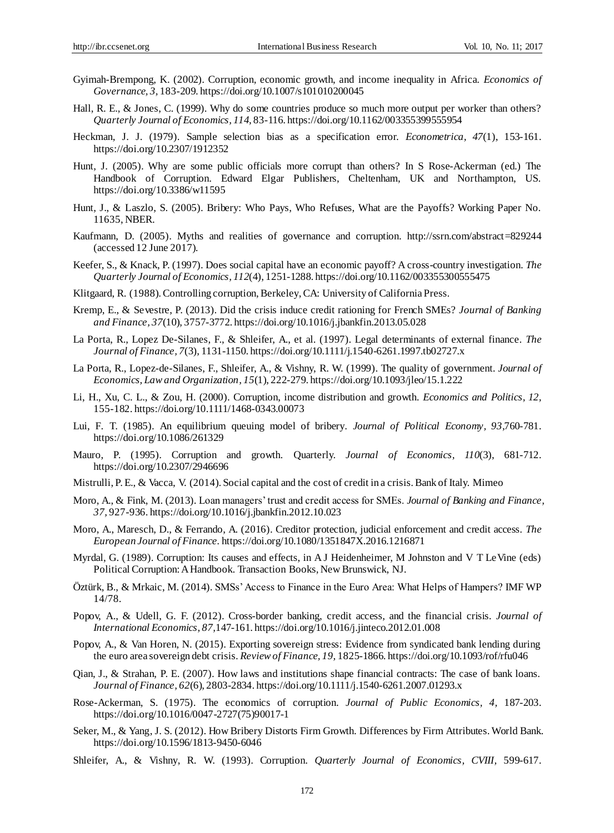- Gyimah-Brempong, K. (2002). Corruption, economic growth, and income inequality in Africa. *Economics of Governance, 3,* 183-209. https://doi.org/10.1007/s101010200045
- Hall, R. E., & Jones, C. (1999). Why do some countries produce so much more output per worker than others? *Quarterly Journal of Economics, 114,* 83-116. https://doi.org/10.1162/003355399555954
- Heckman, J. J. (1979). Sample selection bias as a specification error. *Econometrica, 47*(1), 153-161. https://doi.org/10.2307/1912352
- Hunt, J. (2005). Why are some public officials more corrupt than others? In S Rose-Ackerman (ed.) The Handbook of Corruption. Edward Elgar Publishers, Cheltenham, UK and Northampton, US. https://doi.org/10.3386/w11595
- Hunt, J., & Laszlo, S. (2005). Bribery: Who Pays, Who Refuses, What are the Payoffs? Working Paper No. 11635, NBER.
- Kaufmann, D. (2005). Myths and realities of governance and corruption. http://ssrn.com/abstract=829244 (accessed 12 June 2017).
- Keefer, S., & Knack, P. (1997). Does social capital have an economic payoff? A cross-country investigation. *The Quarterly Journal of Economics, 112*(4), 1251-1288. https://doi.org/10.1162/003355300555475
- Klitgaard, R. (1988).Controlling corruption, Berkeley, CA: University of California Press.
- Kremp, E., & Sevestre, P. (2013). Did the crisis induce credit rationing for French SMEs? *Journal of Banking and Finance, 37*(10), 3757-3772. https://doi.org/10.1016/j.jbankfin.2013.05.028
- La Porta, R., Lopez De-Silanes, F., & Shleifer, A., et al. (1997). Legal determinants of external finance. *The Journal of Finance, 7*(3), 1131-1150. https://doi.org/10.1111/j.1540-6261.1997.tb02727.x
- La Porta, R., Lopez-de-Silanes, F., Shleifer, A., & Vishny, R. W. (1999). The quality of government. *Journal of Economics, Law and Organization, 15*(1), 222-279. https://doi.org/10.1093/jleo/15.1.222
- Li, H., Xu, C. L., & Zou, H. (2000). Corruption, income distribution and growth. *Economics and Politics, 12,*  155-182. https://doi.org/10.1111/1468-0343.00073
- Lui, F. T. (1985). An equilibrium queuing model of bribery. *Journal of Political Economy, 93,*760-781. https://doi.org/10.1086/261329
- Mauro, P. (1995). Corruption and growth. Quarterly. *Journal of Economics, 110*(3), 681-712. https://doi.org/10.2307/2946696
- Mistrulli, P. E., & Vacca, V. (2014). Social capital and the cost of credit in a crisis. Bank of Italy. Mimeo
- Moro, A., & Fink, M. (2013). Loan managers' trust and credit access for SMEs. *Journal of Banking and Finance, 37,* 927-936. https://doi.org/10.1016/j.jbankfin.2012.10.023
- Moro, A., Maresch, D., & Ferrando, A. (2016). Creditor protection, judicial enforcement and credit access. *The European Journal of Finance.* https://doi.org/10.1080/1351847X.2016.1216871
- Myrdal, G. (1989). Corruption: Its causes and effects, in A J Heidenheimer, M Johnston and V T LeVine (eds) Political Corruption: A Handbook. Transaction Books, New Brunswick, NJ.
- Öztürk, B., & Mrkaic, M. (2014). SMSs' Access to Finance in the Euro Area: What Helps of Hampers? IMF WP 14/78.
- Popov, A., & Udell, G. F. (2012). Cross-border banking, credit access, and the financial crisis. *Journal of International Economics, 87,*147-161. https://doi.org/10.1016/j.jinteco.2012.01.008
- Popov, A., & Van Horen, N. (2015). Exporting sovereign stress: Evidence from syndicated bank lending during the euro area sovereign debt crisis. *Review of Finance, 19,* 1825-1866. https://doi.org/10.1093/rof/rfu046
- Qian, J., & Strahan, P. E. (2007). How laws and institutions shape financial contracts: The case of bank loans. *Journal of Finance, 62*(6), 2803-2834. https://doi.org/10.1111/j.1540-6261.2007.01293.x
- Rose-Ackerman, S. (1975). The economics of corruption. *Journal of Public Economics, 4,* 187-203. https://doi.org/10.1016/0047-2727(75)90017-1
- Seker, M., & Yang, J. S. (2012). How Bribery Distorts Firm Growth. Differences by Firm Attributes. World Bank. https://doi.org/10.1596/1813-9450-6046
- Shleifer, A., & Vishny, R. W. (1993). Corruption. *Quarterly Journal of Economics, CVIII,* 599-617.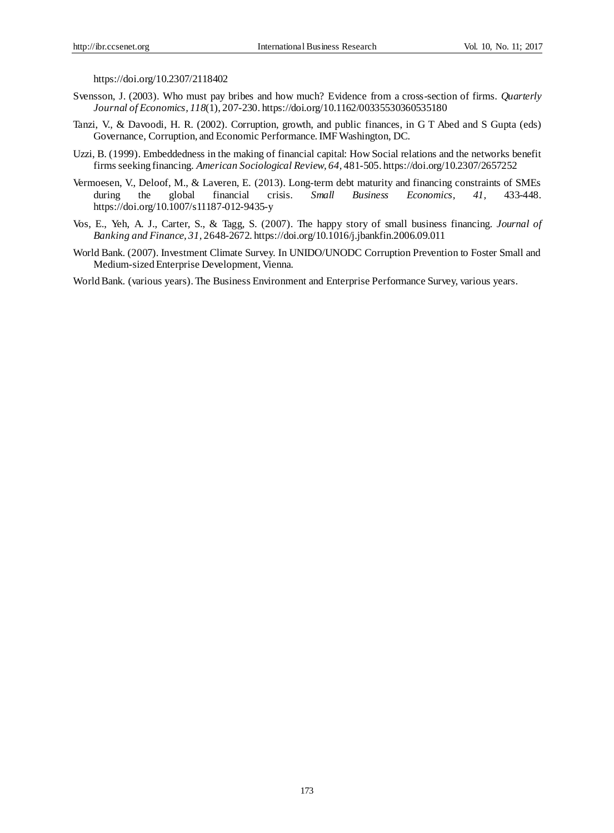https://doi.org/10.2307/2118402

- Svensson, J. (2003). Who must pay bribes and how much? Evidence from a cross-section of firms. *Quarterly Journal of Economics, 118*(1), 207-230. https://doi.org/10.1162/00335530360535180
- Tanzi, V., & Davoodi, H. R. (2002). Corruption, growth, and public finances, in G T Abed and S Gupta (eds) Governance, Corruption, and Economic Performance. IMF Washington, DC.
- Uzzi, B. (1999). Embeddedness in the making of financial capital: How Social relations and the networks benefit firms seeking financing. *American Sociological Review, 64,* 481-505. https://doi.org/10.2307/2657252
- Vermoesen, V., Deloof, M., & Laveren, E. (2013). Long-term debt maturity and financing constraints of SMEs during the global financial crisis. *Small Business Economics*, 41, 433-448. during the global financial crisis. *Small Business Economics, 41,* 433-448. https://doi.org/10.1007/s11187-012-9435-y
- Vos, E., Yeh, A. J., Carter, S., & Tagg, S. (2007). The happy story of small business financing. *Journal of Banking and Finance, 31,* 2648-2672. https://doi.org/10.1016/j.jbankfin.2006.09.011
- World Bank. (2007). Investment Climate Survey. In UNIDO/UNODC Corruption Prevention to Foster Small and Medium-sized Enterprise Development, Vienna.

World Bank. (various years). The Business Environment and Enterprise Performance Survey, various years.